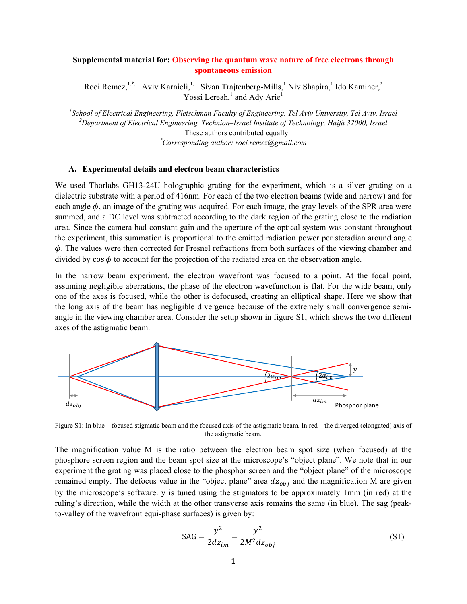# **Supplemental material for: Observing the quantum wave nature of free electrons through spontaneous emission**

Roei Remez,<sup>1,\*,</sup> Aviv Karnieli,<sup>1,</sup> Sivan Trajtenberg-Mills,<sup>1</sup> Niv Shapira,<sup>1</sup> Ido Kaminer,<sup>2</sup> Yossi Lereah,<sup>1</sup> and Ady Arie<sup>1</sup>

<sup>1</sup> School of Electrical Engineering, Fleischman Faculty of Engineering, Tel Aviv University, Tel Aviv, Israel<br><sup>2</sup> Department of Electrical Engineering, Technica, Israel Institute of Technology, Heife 32000, Israel *Department of Electrical Engineering, Technion–Israel Institute of Technology, Haifa 32000, Israel*  These authors contributed equally *\* Corresponding author: roei.remez@gmail.com* 

# **A. Experimental details and electron beam characteristics**

We used Thorlabs GH13-24U holographic grating for the experiment, which is a silver grating on a dielectric substrate with a period of 416nm. For each of the two electron beams (wide and narrow) and for each angle  $\phi$ , an image of the grating was acquired. For each image, the gray levels of the SPR area were summed, and a DC level was subtracted according to the dark region of the grating close to the radiation area. Since the camera had constant gain and the aperture of the optical system was constant throughout the experiment, this summation is proportional to the emitted radiation power per steradian around angle  $\phi$ . The values were then corrected for Fresnel refractions from both surfaces of the viewing chamber and divided by  $\cos \phi$  to account for the projection of the radiated area on the observation angle.

In the narrow beam experiment, the electron wavefront was focused to a point. At the focal point, assuming negligible aberrations, the phase of the electron wavefunction is flat. For the wide beam, only one of the axes is focused, while the other is defocused, creating an elliptical shape. Here we show that the long axis of the beam has negligible divergence because of the extremely small convergence semiangle in the viewing chamber area. Consider the setup shown in figure S1, which shows the two different axes of the astigmatic beam.



Figure S1: In blue – focused stigmatic beam and the focused axis of the astigmatic beam. In red – the diverged (elongated) axis of the astigmatic beam.

The magnification value M is the ratio between the electron beam spot size (when focused) at the phosphore screen region and the beam spot size at the microscope's "object plane". We note that in our experiment the grating was placed close to the phosphor screen and the "object plane" of the microscope remained empty. The defocus value in the "object plane" area  $dz_{obj}$  and the magnification M are given by the microscope's software. y is tuned using the stigmators to be approximately 1mm (in red) at the ruling's direction, while the width at the other transverse axis remains the same (in blue). The sag (peakto-valley of the wavefront equi-phase surfaces) is given by:

$$
SAG = \frac{y^2}{2dz_{im}} = \frac{y^2}{2M^2 dz_{obj}}
$$
 (S1)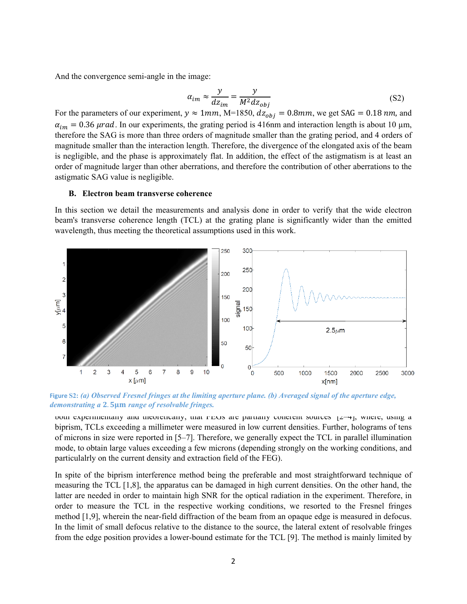And the convergence semi-angle in the image:

$$
\alpha_{im} \approx \frac{y}{dz_{im}} = \frac{y}{M^2 dz_{obj}}
$$
(S2)

For the parameters of our experiment,  $y \approx 1$  $mm$ , M=1850,  $dz_{obj} = 0.8$  $mm$ , we get SAG = 0.18  $nm$ , and  $\alpha_{im} = 0.36 \,\mu$ rad. In our experiments, the grating period is 416nm and interaction length is about 10  $\mu$ m, therefore the SAG is more than three orders of magnitude smaller than the grating period, and 4 orders of magnitude smaller than the interaction length. Therefore, the divergence of the elongated axis of the beam is negligible, and the phase is approximately flat. In addition, the effect of the astigmatism is at least an order of magnitude larger than other aberrations, and therefore the contribution of other aberrations to the astigmatic SAG value is negligible.

# **B. Electron beam transverse coherence**

In this section we detail the measurements and analysis done in order to verify that the wide electron beam's transverse coherence length (TCL) at the grating plane is significantly wider than the emitted wavelength, thus meeting the theoretical assumptions used in this work.



Figure S2: (a) Observed Fresnel fringes at the limiting aperture plane. (b) Averaged signal of the aperture edge, *demonstrating a* 2.5μm *range of resolvable fringes.*  $\frac{1}{\pi}$  *demonstrating a* 2.5μm *range of resolvable fringes.* 

both experimentally and theoretically, that FEGs are partially conerent sources  $[2-4]$ , where, using a biprism, TCLs exceeding a millimeter were measured in low current densities. Further, holograms of tens of microns in size were reported in [5–7]. Therefore, we generally expect the TCL in parallel illumination mode, to obtain large values exceeding a few microns (depending strongly on the working conditions, and particulalrly on the current density and extraction field of the FEG).

In spite of the biprism interference method being the preferable and most straightforward technique of measuring the TCL [1,8], the apparatus can be damaged in high current densities. On the other hand, the latter are needed in order to maintain high SNR for the optical radiation in the experiment. Therefore, in order to measure the TCL in the respective working conditions, we resorted to the Fresnel fringes method [1,9], wherein the near-field diffraction of the beam from an opaque edge is measured in defocus. In the limit of small defocus relative to the distance to the source, the lateral extent of resolvable fringes from the edge position provides a lower-bound estimate for the TCL [9]. The method is mainly limited by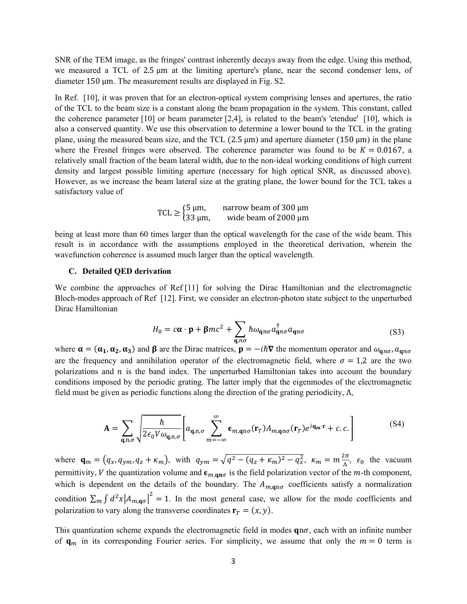SNR of the TEM image, as the fringes' contrast inherently decays away from the edge. Using this method, we measured a TCL of 2.5  $\mu$ m at the limiting aperture's plane, near the second condenser lens, of diameter 150 µm. The measurement results are displayed in Fig. S2.

In Ref. [10], it was proven that for an electron-optical system comprising lenses and apertures, the ratio of the TCL to the beam size is a constant along the beam propagation in the system. This constant, called the coherence parameter [10] or beam parameter [2,4], is related to the beam's 'etendue' [10], which is also a conserved quantity. We use this observation to determine a lower bound to the TCL in the grating plane, using the measured beam size, and the TCL  $(2.5 \text{ µm})$  and aperture diameter  $(150 \text{ µm})$  in the plane where the Fresnel fringes were observed. The coherence parameter was found to be  $K = 0.0167$ , a relatively small fraction of the beam lateral width, due to the non-ideal working conditions of high current density and largest possible limiting aperture (necessary for high optical SNR, as discussed above). However, as we increase the beam lateral size at the grating plane, the lower bound for the TCL takes a satisfactory value of

| TCL $\geq \begin{cases} 5 \mu m, \\ 33 \mu m, \end{cases}$ | narrow beam of 300 µm     |
|------------------------------------------------------------|---------------------------|
|                                                            | wide beam of $2000 \mu m$ |

being at least more than 60 times larger than the optical wavelength for the case of the wide beam. This result is in accordance with the assumptions employed in the theoretical derivation, wherein the wavefunction coherence is assumed much larger than the optical wavelength.

#### **C. Detailed QED derivation**

We combine the approaches of Ref [11] for solving the Dirac Hamiltonian and the electromagnetic Bloch-modes approach of Ref [12]. First, we consider an electron-photon state subject to the unperturbed Dirac Hamiltonian

$$
H_0 = c\mathbf{\alpha} \cdot \mathbf{p} + \beta mc^2 + \sum_{\mathbf{q}, n\sigma} \hbar \omega_{\mathbf{q}n\sigma} a_{\mathbf{q}n\sigma}^{\dagger} a_{\mathbf{q}n\sigma}
$$
(S3)

where  $\alpha = (\alpha_1, \alpha_2, \alpha_3)$  and  $\beta$  are the Dirac matrices,  $\mathbf{p} = -i\hbar \nabla$  the momentum operator and  $\omega_{\mathbf{q}n\sigma}$ ,  $a_{\mathbf{q}n\sigma}$ are the frequency and annihilation operator of the electromagnetic field, where  $\sigma = 1.2$  are the two polarizations and  $n$  is the band index. The unperturbed Hamiltonian takes into account the boundary conditions imposed by the periodic grating. The latter imply that the eigenmodes of the electromagnetic field must be given as periodic functions along the direction of the grating periodicity,  $\Lambda$ ,

$$
\mathbf{A} = \sum_{\mathbf{q},\mathbf{n},\sigma} \sqrt{\frac{\hbar}{2\epsilon_0 V \omega_{\mathbf{q},\mathbf{n},\sigma}}} \left[ a_{\mathbf{q},\mathbf{n},\sigma} \sum_{m=-\infty}^{\infty} \epsilon_{m,\mathbf{q}\mathbf{n}\sigma}(\mathbf{r}_T) A_{m,\mathbf{q}\mathbf{n}\sigma}(\mathbf{r}_T) e^{i\mathbf{q}_{\mathbf{m}} \cdot \mathbf{r}} + c.c. \right]
$$
(S4)

where  $\mathbf{q}_m = (q_x, q_{ym}, q_z + \kappa_m)$ , with  $q_{ym} = \sqrt{q^2 - (q_z + \kappa_m)^2 - q_x^2}$ ,  $\kappa_m = m \frac{2\pi}{\Lambda}$ ,  $\epsilon_0$  the vacuum permittivity, V the quantization volume and  $\epsilon_{m,qn\sigma}$  is the field polarization vector of the *m*-th component, which is dependent on the details of the boundary. The  $A_{m,qn\sigma}$  coefficients satisfy a normalization condition  $\sum_m \int d^2x |A_{m,q\sigma}|^2 = 1$ . In the most general case, we allow for the mode coefficients and polarization to vary along the transverse coordinates  $\mathbf{r}_T = (x, y)$ .

This quantization scheme expands the electromagnetic field in modes  $qn\sigma$ , each with an infinite number of  $\mathbf{q}_m$  in its corresponding Fourier series. For simplicity, we assume that only the  $m=0$  term is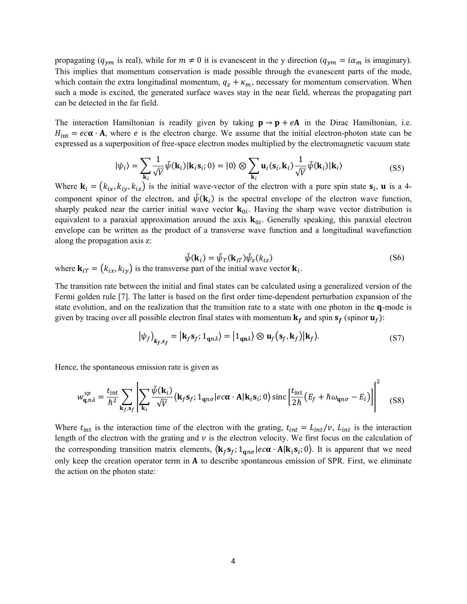propagating ( $q_{ym}$  is real), while for  $m \neq 0$  it is evanescent in the y direction ( $q_{ym} = i\alpha_m$  is imaginary). This implies that momentum conservation is made possible through the evanescent parts of the mode, which contain the extra longitudinal momentum,  $q_z + \kappa_m$ , necessary for momentum conservation. When such a mode is excited, the generated surface waves stay in the near field, whereas the propagating part can be detected in the far field.

The interaction Hamiltonian is readily given by taking  $\mathbf{p} \to \mathbf{p} + e\mathbf{A}$  in the Dirac Hamiltonian, i.e.  $H_{int} = ec\alpha \cdot A$ , where *e* is the electron charge. We assume that the initial electron-photon state can be expressed as a superposition of free-space electron modes multiplied by the electromagnetic vacuum state

$$
|\psi_i\rangle = \sum_{\mathbf{k}_i} \frac{1}{\sqrt{V}} \tilde{\psi}(\mathbf{k}_i) | \mathbf{k}_i \mathbf{s}_i; 0 \rangle = |0\rangle \otimes \sum_{\mathbf{k}_i} \mathbf{u}_i(\mathbf{s}_i, \mathbf{k}_i) \frac{1}{\sqrt{V}} \tilde{\psi}(\mathbf{k}_i) | \mathbf{k}_i \rangle
$$
 (S5)

Where  $\mathbf{k}_i = (k_{ix}, k_{iy}, k_{iz})$  is the initial wave-vector of the electron with a pure spin state  $\mathbf{s}_i$ , **u** is a 4component spinor of the electron, and  $\tilde{\psi}(\mathbf{k}_i)$  is the spectral envelope of the electron wave function, sharply peaked near the carrier initial wave vector  $\mathbf{k}_{0i}$ . Having the sharp wave vector distribution is equivalent to a paraxial approximation around the axis  $\mathbf{k}_{0i}$ . Generally speaking, this paraxial electron envelope can be written as the product of a transverse wave function and a longitudinal wavefunction along the propagation axis z:

$$
\tilde{\psi}(\mathbf{k}_i) = \tilde{\psi}_T(\mathbf{k}_{iT}) \tilde{\psi}_z(k_{iz})
$$
\n(S6)

where  ${\bf k}_{iT} = (k_{ix}, k_{iy})$  is the transverse part of the initial wave vector  ${\bf k}_i$ .

The transition rate between the initial and final states can be calculated using a generalized version of the Fermi golden rule [7]. The latter is based on the first order time-dependent perturbation expansion of the state evolution, and on the realization that the transition rate to a state with one photon in the q-mode is given by tracing over all possible electron final states with momentum  $\mathbf{k}_f$  and spin  $\mathbf{s}_f$  (spinor  $\mathbf{u}_f$ ):

$$
|\psi_f\rangle_{k_f, s_f} = |\mathbf{k}_f \mathbf{s}_f; 1_{\mathbf{q} n \lambda}\rangle = |1_{\mathbf{q} n \lambda}\rangle \otimes \mathbf{u}_f(\mathbf{s}_f, \mathbf{k}_f)|\mathbf{k}_f\rangle.
$$
 (S7)

Hence, the spontaneous emission rate is given as

$$
w_{\mathbf{q},n\lambda}^{sp} = \frac{t_{\rm int}}{\hbar^2} \sum_{\mathbf{k}_f, \mathbf{s}_f} \left| \sum_{\mathbf{k}_i} \frac{\tilde{\psi}(\mathbf{k}_i)}{\sqrt{V}} \langle \mathbf{k}_f \mathbf{s}_f; 1_{\mathbf{q}n\sigma} | ec\alpha \cdot \mathbf{A} | \mathbf{k}_i \mathbf{s}_i; 0 \rangle \operatorname{sinc} \left[ \frac{t_{\rm int}}{2\hbar} \left( E_f + \hbar \omega_{\mathbf{q}n\sigma} - E_i \right) \right] \right|^2 \tag{S8}
$$

Where  $t_{\text{int}}$  is the interaction time of the electron with the grating,  $t_{\text{int}} = L_{\text{int}}/v$ ,  $L_{\text{int}}$  is the interaction length of the electron with the grating and  $v$  is the electron velocity. We first focus on the calculation of the corresponding transition matrix elements,  $\langle \mathbf{k}_f \mathbf{s}_f; 1_{\mathbf{a}n\sigma} | e c \alpha \cdot \mathbf{A} | \mathbf{k}_i \mathbf{s}_i; 0 \rangle$ . It is apparent that we need only keep the creation operator term in  $A$  to describe spontaneous emission of SPR. First, we eliminate the action on the photon state: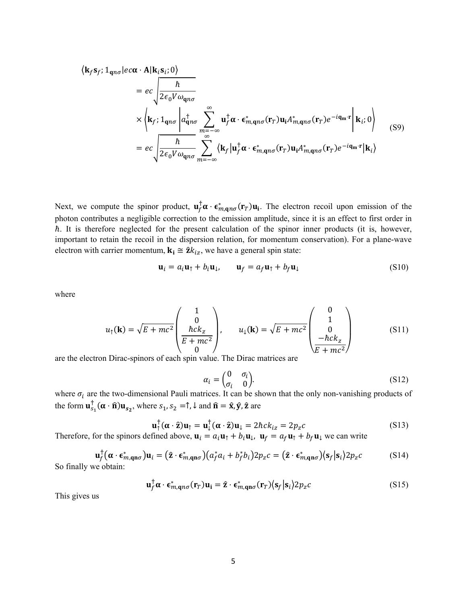$$
\langle \mathbf{k}_f \mathbf{s}_f; 1_{\mathbf{q}n\sigma} | ec\alpha \cdot \mathbf{A} | \mathbf{k}_i \mathbf{s}_i; 0 \rangle
$$
  
\n
$$
= ec \sqrt{\frac{\hbar}{2\epsilon_0 V \omega_{\mathbf{q}n\sigma}}}
$$
  
\n
$$
\times \langle \mathbf{k}_f; 1_{\mathbf{q}n\sigma} | a_{\mathbf{q}n\sigma}^{\dagger} \sum_{m=-\infty}^{\infty} \mathbf{u}_f^{\dagger} \alpha \cdot \epsilon_{m,\mathbf{q}n\sigma}^* (\mathbf{r}_T) \mathbf{u}_i A_{m,\mathbf{q}n\sigma}^* (\mathbf{r}_T) e^{-i\mathbf{q}_m \cdot \mathbf{r}} | \mathbf{k}_i; 0 \rangle
$$
  
\n
$$
= ec \sqrt{\frac{\hbar}{2\epsilon_0 V \omega_{\mathbf{q}n\sigma}}} \sum_{m=-\infty}^{\infty} \langle \mathbf{k}_f | \mathbf{u}_f^{\dagger} \alpha \cdot \epsilon_{m,\mathbf{q}n\sigma}^* (\mathbf{r}_T) \mathbf{u}_i A_{m,\mathbf{q}n\sigma}^* (\mathbf{r}_T) e^{-i\mathbf{q}_m \cdot \mathbf{r}} | \mathbf{k}_i \rangle
$$
 (S9)

Next, we compute the spinor product,  $\mathbf{u}_f^{\dagger} \boldsymbol{\alpha} \cdot \boldsymbol{\epsilon}_{m,qn\sigma}^* (\mathbf{r}_T) \mathbf{u}_i$ . The electron recoil upon emission of the photon contributes a negligible correction to the emission amplitude, since it is an effect to first order in  $\hbar$ . It is therefore neglected for the present calculation of the spinor inner products (it is, however, important to retain the recoil in the dispersion relation, for momentum conservation). For a plane-wave electron with carrier momentum,  $\mathbf{k_i} \cong 2k_{iz}$ , we have a general spin state:

$$
\mathbf{u}_i = a_i \mathbf{u}_\uparrow + b_i \mathbf{u}_\downarrow, \qquad \mathbf{u}_f = a_f \mathbf{u}_\uparrow + b_f \mathbf{u}_\downarrow \tag{S10}
$$

where

$$
u_{\uparrow}(\mathbf{k}) = \sqrt{E + mc^2} \begin{pmatrix} 1 \\ 0 \\ \frac{\hbar ck_z}{E + mc^2} \\ 0 \end{pmatrix}, \qquad u_{\downarrow}(\mathbf{k}) = \sqrt{E + mc^2} \begin{pmatrix} 0 \\ 1 \\ 0 \\ -\hbar ck_z \\ \frac{-\hbar ck_z}{E + mc^2} \end{pmatrix}
$$
(S11)

are the electron Dirac-spinors of each spin value. The Dirac matrices are

$$
\alpha_i = \begin{pmatrix} 0 & \sigma_i \\ \sigma_i & 0 \end{pmatrix} . \tag{S12}
$$

where  $\sigma_i$  are the two-dimensional Pauli matrices. It can be shown that the only non-vanishing products of the form  $\mathbf{u}_{s_1}^{\dagger}(\alpha \cdot \hat{\mathbf{n}}) \mathbf{u}_{s_2}$ , where  $s_1, s_2 = \hat{\mathbf{a}}$ ,  $\hat{\mathbf{u}}$  and  $\hat{\mathbf{n}} = \hat{\mathbf{x}}$ ,  $\hat{\mathbf{y}}$ ,  $\hat{\mathbf{z}}$  are

$$
\mathbf{u}_{\uparrow}^{\dagger}(\alpha \cdot \hat{\mathbf{z}})\mathbf{u}_{\uparrow} = \mathbf{u}_{\downarrow}^{\dagger}(\alpha \cdot \hat{\mathbf{z}})\mathbf{u}_{\downarrow} = 2\hbar ck_{iz} = 2p_{z}c
$$
 (S13)

Therefore, for the spinors defined above,  $\mathbf{u}_i = a_i \mathbf{u}_\uparrow + b_i \mathbf{u}_\downarrow$ ,  $\mathbf{u}_f = a_f \mathbf{u}_\uparrow + b_f \mathbf{u}_\downarrow$  we can write

$$
\mathbf{u}_f^{\dagger}(\boldsymbol{\alpha} \cdot \boldsymbol{\epsilon}_{m,\mathbf{q}\mathbf{n}\sigma}^*)\mathbf{u}_i = (\hat{\mathbf{z}} \cdot \boldsymbol{\epsilon}_{m,\mathbf{q}\mathbf{n}\sigma}^*) (a_f^* a_i + b_f^* b_i) 2p_z c = (\hat{\mathbf{z}} \cdot \boldsymbol{\epsilon}_{m,\mathbf{q}\mathbf{n}\sigma}^*) (s_f | s_i) 2p_z c
$$
 (S14)  
namely, we obtain:

So finally

$$
\mathbf{u}_f^{\dagger} \boldsymbol{\alpha} \cdot \boldsymbol{\epsilon}_{m,\mathbf{q}n\sigma}^* (\mathbf{r}_T) \mathbf{u}_i = \hat{\mathbf{z}} \cdot \boldsymbol{\epsilon}_{m,\mathbf{q}n\sigma}^* (\mathbf{r}_T) \langle \mathbf{s}_f | \mathbf{s}_i \rangle 2 p_z c
$$
 (S15)

This gives us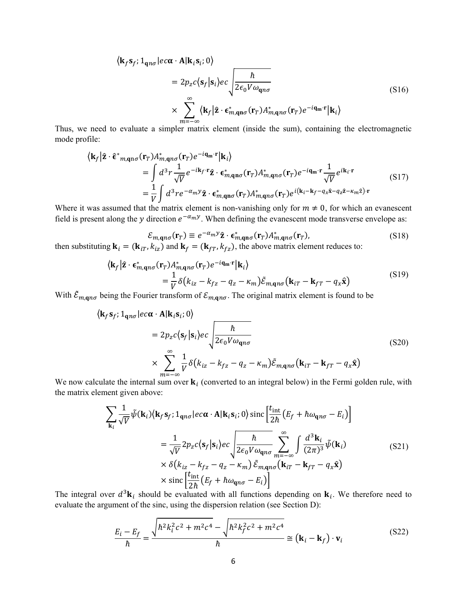$\langle \mathbf{k}_f \mathbf{s}_f; 1_{\mathbf{q} \eta \sigma} | ec\boldsymbol{\alpha} \cdot \mathbf{A} | \mathbf{k}_i \mathbf{s}_i; 0 \rangle$ 

$$
= 2p_z c \langle \mathbf{s}_f | \mathbf{s}_i \rangle e c \sqrt{\frac{\hbar}{2\epsilon_0 V \omega_{\mathbf{q}n\sigma}}} \tag{S16}
$$
\n
$$
\times \sum_{m=-\infty}^{\infty} \langle \mathbf{k}_f | \hat{\mathbf{z}} \cdot \boldsymbol{\epsilon}_{m,\mathbf{q}n\sigma}^* (\mathbf{r}_T) A_{m,\mathbf{q}n\sigma}^* (\mathbf{r}_T) e^{-i\mathbf{q_m} \cdot \mathbf{r}} | \mathbf{k}_i \rangle
$$

Thus, we need to evaluate a simpler matrix element (inside the sum), containing the electromagnetic mode profile:

$$
\langle \mathbf{k}_f | \hat{\mathbf{z}} \cdot \hat{\boldsymbol{\epsilon}}^*_{m,\mathbf{q}n\sigma} (\mathbf{r}_T) A_{m,\mathbf{q}n\sigma}^* (\mathbf{r}_T) e^{-i\mathbf{q_m} \cdot \mathbf{r}} | \mathbf{k}_i \rangle
$$
\n
$$
= \int d^3 r \frac{1}{\sqrt{V}} e^{-i\mathbf{k}_f \cdot \mathbf{r}} \hat{\mathbf{z}} \cdot \hat{\boldsymbol{\epsilon}}_{m,\mathbf{q}n\sigma}^* (\mathbf{r}_T) A_{m,\mathbf{q}n\sigma}^* (\mathbf{r}_T) e^{-i\mathbf{q_m} \cdot \mathbf{r}} \frac{1}{\sqrt{V}} e^{i\mathbf{k}_i \cdot \mathbf{r}}
$$
\n
$$
= \frac{1}{V} \int d^3 r e^{-\alpha_m y} \hat{\mathbf{z}} \cdot \hat{\boldsymbol{\epsilon}}_{m,\mathbf{q}n\sigma}^* (\mathbf{r}_T) A_{m,\mathbf{q}n\sigma}^* (\mathbf{r}_T) e^{i(\mathbf{k}_i - \mathbf{k}_f - q_x \hat{\mathbf{x}} - q_z \hat{\mathbf{z}} - \kappa_m \hat{\mathbf{z}}) \cdot \mathbf{r}}
$$
\n(S17)

Where it was assumed that the matrix element is non-vanishing only for  $m \neq 0$ , for which an evanescent field is present along the y direction  $e^{-\alpha_m y}$ . When defining the evanescent mode transverse envelope as:

$$
\mathcal{E}_{m,\mathbf{q}n\sigma}(\mathbf{r}_T) \equiv e^{-\alpha_m y} \hat{\mathbf{z}} \cdot \mathbf{\epsilon}_{m,\mathbf{q}n\sigma}^*(\mathbf{r}_T) A_{m,\mathbf{q}n\sigma}^*(\mathbf{r}_T), \tag{S18}
$$

then substituting  $\mathbf{k}_i = (\mathbf{k}_{iT}, k_{iz})$  and  $\mathbf{k}_f = (\mathbf{k}_{fT}, k_{fz})$ , the above matrix element reduces to:

$$
\langle \mathbf{k}_f | \hat{\mathbf{z}} \cdot \boldsymbol{\epsilon}_{m,\mathbf{q}n\sigma}^* (\mathbf{r}_T) A_{m,\mathbf{q}n\sigma}^* (\mathbf{r}_T) e^{-i\mathbf{q}_m \cdot \mathbf{r}} | \mathbf{k}_i \rangle
$$
  
=  $\frac{1}{V} \delta (k_{iz} - k_{fz} - q_z - \kappa_m) \tilde{\mathcal{E}}_{m,\mathbf{q}n\sigma} (\mathbf{k}_{iT} - \mathbf{k}_{fT} - q_x \hat{\mathbf{x}})$  (S19)

With  $\tilde{\mathcal{E}}_{m,qn\sigma}$  being the Fourier transform of  $\mathcal{E}_{m,qn\sigma}$ . The original matrix element is found to be

$$
\langle \mathbf{k}_f \mathbf{s}_f; 1_{\mathbf{q}n\sigma} | ec\alpha \cdot \mathbf{A} | \mathbf{k}_i \mathbf{s}_i; 0 \rangle
$$
  
=  $2p_z c \langle \mathbf{s}_f | \mathbf{s}_i \rangle ec \sqrt{\frac{\hbar}{2\epsilon_0 V \omega_{\mathbf{q}n\sigma}}}$  (S20)  

$$
\times \sum_{m=-\infty}^{\infty} \frac{1}{V} \delta (k_{iz} - k_{fz} - q_z - \kappa_m) \tilde{\epsilon}_{m, \mathbf{q}n\sigma} (\mathbf{k}_{iT} - \mathbf{k}_{fT} - q_x \hat{\mathbf{x}})
$$

We now calculate the internal sum over  $\mathbf{k}_i$  (converted to an integral below) in the Fermi golden rule, with the matrix element given above:

$$
\sum_{\mathbf{k}_i} \frac{1}{\sqrt{V}} \tilde{\psi}(\mathbf{k}_i) \langle \mathbf{k}_f \mathbf{s}_f; 1_{\mathbf{q}n\sigma} | ec\alpha \cdot \mathbf{A} | \mathbf{k}_i \mathbf{s}_i; 0 \rangle \operatorname{sinc} \left[ \frac{t_{\text{int}}}{2\hbar} \left( E_f + \hbar \omega_{\mathbf{q}n\sigma} - E_i \right) \right]
$$
\n
$$
= \frac{1}{\sqrt{V}} 2p_z c \langle \mathbf{s}_f | \mathbf{s}_i \rangle ec \sqrt{\frac{\hbar}{2\epsilon_0 V \omega_{\mathbf{q}n\sigma}}} \sum_{m=-\infty}^{\infty} \int \frac{d^3 \mathbf{k}_i}{(2\pi)^3} \tilde{\psi}(\mathbf{k}_i) \tag{S21}
$$
\n
$$
\times \delta \left( k_{iz} - k_{fz} - q_z - \kappa_m \right) \tilde{\varepsilon}_{m, \mathbf{q}n\sigma} \left( \mathbf{k}_{iT} - \mathbf{k}_{fT} - q_x \hat{\mathbf{x}} \right)
$$
\n
$$
\times \operatorname{sinc} \left[ \frac{t_{\text{int}}}{2\hbar} \left( E_f + \hbar \omega_{\mathbf{q}n\sigma} - E_i \right) \right]
$$

The integral over  $d^3\mathbf{k}_i$  should be evaluated with all functions depending on  $\mathbf{k}_i$ . We therefore need to evaluate the argument of the sinc, using the dispersion relation (see Section D):

$$
\frac{E_i - E_f}{\hbar} = \frac{\sqrt{\hbar^2 k_i^2 c^2 + m^2 c^4} - \sqrt{\hbar^2 k_f^2 c^2 + m^2 c^4}}{\hbar} \approx (\mathbf{k}_i - \mathbf{k}_f) \cdot \mathbf{v}_i
$$
(S22)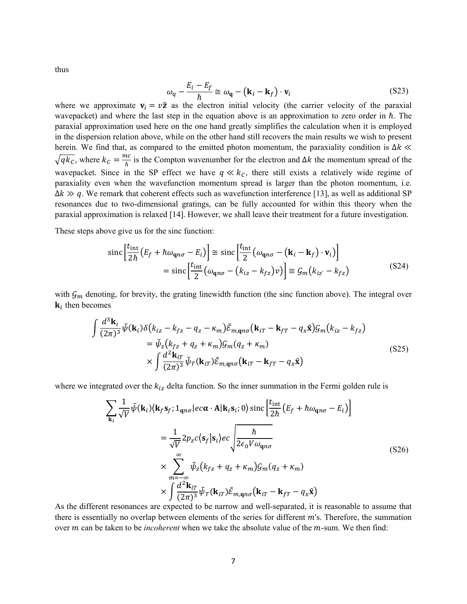thus

$$
\omega_q - \frac{E_i - E_f}{\hbar} \cong \omega_q - (\mathbf{k}_i - \mathbf{k}_f) \cdot \mathbf{v}_i
$$
 (S23)

where we approximate  $v_i = v\hat{z}$  as the electron initial velocity (the carrier velocity of the paraxial wavepacket) and where the last step in the equation above is an approximation to zero order in  $\hbar$ . The paraxial approximation used here on the one hand greatly simplifies the calculation when it is employed in the dispersion relation above, while on the other hand still recovers the main results we wish to present herein. We find that, as compared to the emitted photon momentum, the paraxiality condition is  $\Delta k \ll$  $\sqrt{q k_c}$ , where  $k_c = \frac{mc}{\hbar}$  is the Compton wavenumber for the electron and  $\Delta k$  the momentum spread of the wavepacket. Since in the SP effect we have  $q \ll k_c$ , there still exists a relatively wide regime of paraxiality even when the wavefunction momentum spread is larger than the photon momentum, i.e.  $\Delta k \gg q$ . We remark that coherent effects such as wavefunction interference [13], as well as additional SP resonances due to two-dimensional gratings, can be fully accounted for within this theory when the paraxial approximation is relaxed [14]. However, we shall leave their treatment for a future investigation.

These steps above give us for the sinc function:

$$
\operatorname{sinc}\left[\frac{t_{\text{int}}}{2\hbar}\left(E_f + \hbar\omega_{\mathbf{q}n\sigma} - E_i\right)\right] \cong \operatorname{sinc}\left[\frac{t_{\text{int}}}{2}\left(\omega_{\mathbf{q}n\sigma} - \left(\mathbf{k}_i - \mathbf{k}_f\right) \cdot \mathbf{v}_i\right)\right]
$$
\n
$$
= \operatorname{sinc}\left[\frac{t_{\text{int}}}{2}\left(\omega_{\mathbf{q}n\sigma} - \left(k_{iz} - k_{fz}\right)v\right)\right] \cong \mathcal{G}_m\left(k_{iz} - k_{fz}\right) \tag{S24}
$$

with  $\mathcal{G}_m$  denoting, for brevity, the grating linewidth function (the sinc function above). The integral over  $\mathbf{k}_i$  then becomes

$$
\int \frac{d^3 \mathbf{k}_i}{(2\pi)^3} \tilde{\psi}(\mathbf{k}_i) \delta(k_{iz} - k_{fz} - q_z - \kappa_m) \tilde{\mathcal{E}}_{m,\mathbf{q}n\sigma}(\mathbf{k}_{iT} - \mathbf{k}_{fT} - q_x \hat{\mathbf{x}}) \mathcal{G}_m(k_{iz} - k_{fz})
$$
\n
$$
= \tilde{\psi}_z (k_{fz} + q_z + \kappa_m) \mathcal{G}_m(q_z + \kappa_m)
$$
\n
$$
\times \int \frac{d^2 \mathbf{k}_{iT}}{(2\pi)^3} \tilde{\psi}_T(\mathbf{k}_{iT}) \tilde{\mathcal{E}}_{m,\mathbf{q}n\sigma}(\mathbf{k}_{iT} - \mathbf{k}_{fT} - q_x \hat{\mathbf{x}})
$$
\n(S25)

where we integrated over the  $k_{iz}$  delta function. So the inner summation in the Fermi golden rule is

$$
\sum_{\mathbf{k}_i} \frac{1}{\sqrt{V}} \tilde{\psi}(\mathbf{k}_i) \langle \mathbf{k}_f \mathbf{s}_f; \mathbf{1}_{\mathbf{q}n\sigma} | e c \alpha \cdot \mathbf{A} | \mathbf{k}_i \mathbf{s}_i; 0 \rangle \operatorname{sinc} \left[ \frac{t_{\text{int}}}{2\hbar} \left( E_f + \hbar \omega_{\mathbf{q}n\sigma} - E_i \right) \right]
$$
  
\n
$$
= \frac{1}{\sqrt{V}} 2p_z c \langle \mathbf{s}_f | \mathbf{s}_i \rangle e c \sqrt{\frac{\hbar}{2\epsilon_0 V \omega_{\mathbf{q}n\sigma}}}
$$
  
\n
$$
\times \sum_{m=-\infty}^{\infty} \tilde{\psi}_z (k_{fz} + q_z + \kappa_m) \mathcal{G}_m (q_z + \kappa_m)
$$
  
\n
$$
\times \int \frac{d^2 \mathbf{k}_{iT}}{(2\pi)^3} \tilde{\psi}_T(\mathbf{k}_{iT}) \tilde{\mathcal{E}}_{m,\mathbf{q}n\sigma}(\mathbf{k}_{iT} - \mathbf{k}_{fT} - q_x \hat{\mathbf{x}})
$$
 (S26)

As the different resonances are expected to be narrow and well-separated, it is reasonable to assume that there is essentially no overlap between elements of the series for different  $m$ 's. Therefore, the summation over *m* can be taken to be *incoherent* when we take the absolute value of the *m*-sum. We then find: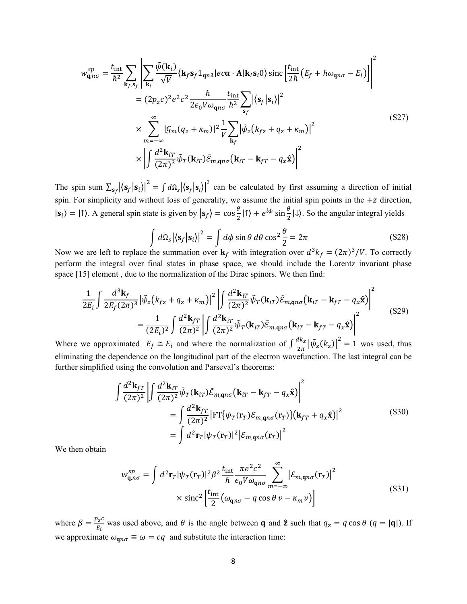$$
w_{\mathbf{q},n\sigma}^{sp} = \frac{t_{\rm int}}{\hbar^2} \sum_{\mathbf{k}_f, \mathbf{s}_f} \left| \sum_{\mathbf{k}_i} \frac{\tilde{\psi}(\mathbf{k}_i)}{\sqrt{V}} \langle \mathbf{k}_f \mathbf{s}_f \mathbf{1}_{\mathbf{q}n\lambda} | e c \alpha \cdot \mathbf{A} | \mathbf{k}_i \mathbf{s}_i \mathbf{0} \rangle \operatorname{sinc} \left[ \frac{t_{\rm int}}{2\hbar} \left( E_f + \hbar \omega_{\mathbf{q}n\sigma} - E_i \right) \right] \right|^2
$$
  
\n
$$
= (2p_z c)^2 e^2 c^2 \frac{\hbar}{2\epsilon_0 V \omega_{\mathbf{q}n\sigma}} \frac{t_{\rm int}}{\hbar^2} \sum_{\mathbf{s}_f} \left| \langle \mathbf{s}_f | \mathbf{s}_i \rangle \right|^2
$$
  
\n
$$
\times \sum_{m=-\infty}^{\infty} |g_m (q_z + \kappa_m)|^2 \frac{1}{V} \sum_{\mathbf{k}_f} \left| \tilde{\psi}_z (k_{fz} + q_z + \kappa_m) \right|^2
$$
  
\n
$$
\times \left| \int \frac{d^2 \mathbf{k}_{iT}}{(2\pi)^3} \tilde{\psi}_T (\mathbf{k}_{iT}) \tilde{\mathcal{E}}_{m,\mathbf{q}n\sigma} (\mathbf{k}_{iT} - \mathbf{k}_{FT} - q_x \hat{\mathbf{x}}) \right|^2
$$
\n(S27)

The spin sum  $\sum_{s_f} |\langle s_f | s_i \rangle|^2 = \int d\Omega_s |\langle s_f | s_i \rangle|^2$  can be calculated by first assuming a direction of initial spin. For simplicity and without loss of generality, we assume the initial spin points in the  $+z$  direction,  $|\mathbf{s}_i\rangle = |\uparrow\rangle$ . A general spin state is given by  $|\mathbf{s}_f\rangle = \cos\frac{\theta}{2}|\uparrow\rangle + e^{i\phi}\sin\frac{\theta}{2}|\downarrow\rangle$ . So the angular integral yields

$$
\int d\Omega_s |\langle \mathbf{s}_f | \mathbf{s}_i \rangle|^2 = \int d\phi \sin \theta \, d\theta \cos^2 \frac{\theta}{2} = 2\pi
$$
\n(S28)

Now we are left to replace the summation over  $\mathbf{k}_f$  with integration over  $d^3k_f = (2\pi)^3/V$ . To correctly perform the integral over final states in phase space, we should include the Lorentz invariant phase space [15] element , due to the normalization of the Dirac spinors. We then find:

$$
\frac{1}{2E_i} \int \frac{d^3 \mathbf{k}_f}{2E_f (2\pi)^3} |\tilde{\psi}_z (k_{fz} + q_z + \kappa_m)|^2 \left| \int \frac{d^2 \mathbf{k}_{iT}}{(2\pi)^2} \tilde{\psi}_T (\mathbf{k}_{iT}) \tilde{\mathcal{E}}_{m,\mathbf{q}n\sigma} (\mathbf{k}_{iT} - \mathbf{k}_{fT} - q_x \hat{\mathbf{x}}) \right|^2
$$
\n
$$
= \frac{1}{(2E_i)^2} \int \frac{d^2 \mathbf{k}_{iT}}{(2\pi)^2} \left| \int \frac{d^2 \mathbf{k}_{iT}}{(2\pi)^2} \tilde{\psi}_T (\mathbf{k}_{iT}) \tilde{\mathcal{E}}_{m,\mathbf{q}n\sigma} (\mathbf{k}_{iT} - \mathbf{k}_{fT} - q_x \hat{\mathbf{x}}) \right|^2 \tag{S29}
$$

Where we approximated  $E_f \cong E_i$  and where the normalization of  $\int \frac{dk_z}{2\pi} |\tilde{\psi}_z(k_z)|^2 = 1$  was used, thus eliminating the dependence on the longitudinal part of the electron wavefunction. The last integral can be further simplified using the convolution and Parseval's theorems:

$$
\int \frac{d^2 \mathbf{k}_{fT}}{(2\pi)^2} \left| \int \frac{d^2 \mathbf{k}_{iT}}{(2\pi)^2} \tilde{\psi}_T(\mathbf{k}_{iT}) \tilde{\mathcal{E}}_{m,\mathbf{q}n\sigma}(\mathbf{k}_{iT} - \mathbf{k}_{fT} - q_x \hat{\mathbf{x}}) \right|^2
$$
  
\n
$$
= \int \frac{d^2 \mathbf{k}_{fT}}{(2\pi)^2} \left| \mathrm{FT} \{ \psi_T(\mathbf{r}_T) \mathcal{E}_{m,\mathbf{q}n\sigma}(\mathbf{r}_T) \} (\mathbf{k}_{fT} + q_x \hat{\mathbf{x}}) \right|^2
$$
(S30)  
\n
$$
= \int d^2 \mathbf{r}_T |\psi_T(\mathbf{r}_T)|^2 \left| \mathcal{E}_{m,\mathbf{q}n\sigma}(\mathbf{r}_T) \right|^2
$$

We then obtain

$$
w_{\mathbf{q},n\sigma}^{sp} = \int d^2 \mathbf{r}_T |\psi_T(\mathbf{r}_T)|^2 \beta^2 \frac{t_{\text{int}}}{\hbar} \frac{\pi e^2 c^2}{\epsilon_0 V \omega_{\mathbf{q}n\sigma}} \sum_{m=-\infty}^{\infty} \left| \mathcal{E}_{m,\mathbf{q}n\sigma}(\mathbf{r}_T) \right|^2
$$
  
× sin*c*<sup>2</sup>  $\left[ \frac{t_{\text{int}}}{2} \left( \omega_{\mathbf{q}n\sigma} - q \cos \theta v - \kappa_m v \right) \right]$  (S31)

where  $\beta = \frac{p_z c}{E_i}$  was used above, and  $\theta$  is the angle between **q** and **2** such that  $q_z = q \cos \theta$  ( $q = |\mathbf{q}|$ ). If we approximate  $\omega_{\mathbf{q}n\sigma} \equiv \omega = cq$  and substitute the interaction time: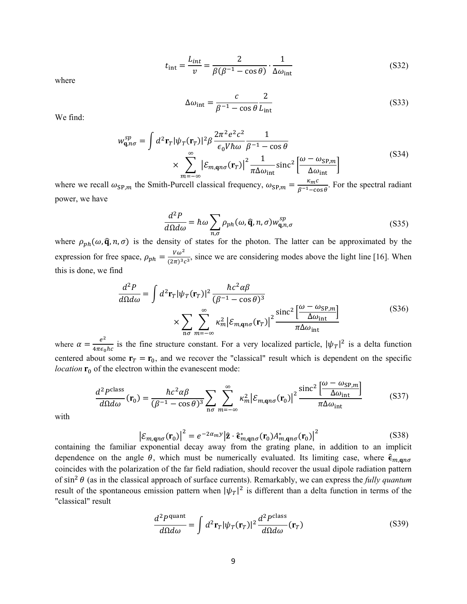$$
t_{\rm int} = \frac{L_{int}}{v} = \frac{2}{\beta(\beta^{-1} - \cos \theta)} \cdot \frac{1}{\Delta \omega_{\rm int}}
$$
(S32)

where

$$
\Delta\omega_{\rm int} = \frac{c}{\beta^{-1} - \cos\theta} \frac{2}{L_{\rm int}} \tag{S33}
$$

We find:

$$
w_{\mathbf{q},n\sigma}^{sp} = \int d^2 \mathbf{r}_T |\psi_T(\mathbf{r}_T)|^2 \beta \frac{2\pi^2 e^2 c^2}{\epsilon_0 V \hbar \omega} \frac{1}{\beta^{-1} - \cos \theta}
$$
  
 
$$
\times \sum_{m=-\infty}^{\infty} |\varepsilon_{m,\mathbf{q}n\sigma}(\mathbf{r}_T)|^2 \frac{1}{\pi \Delta \omega_{\text{int}}} \operatorname{sinc}^2 \left[ \frac{\omega - \omega_{\text{SP},m}}{\Delta \omega_{\text{int}}} \right]
$$
 (S34)

where we recall  $\omega_{\text{SP},m}$  the Smith-Purcell classical frequency,  $\omega_{\text{SP},m} = \frac{\kappa_m c}{\beta^{-1} - \cos \theta}$ . For the spectral radiant power, we have

$$
\frac{d^2P}{d\Omega d\omega} = \hbar\omega \sum_{n,\sigma} \rho_{ph}(\omega, \hat{\mathbf{q}}, n, \sigma) w_{\mathbf{q},n,\sigma}^{sp}
$$
(S35)

where  $\rho_{nh}(\omega, \hat{\mathbf{q}}, n, \sigma)$  is the density of states for the photon. The latter can be approximated by the expression for free space,  $\rho_{ph} = \frac{V\omega^2}{(2\pi)^3 c^3}$ , since we are considering modes above the light line [16]. When this is done, we find

$$
\frac{d^2P}{d\Omega d\omega} = \int d^2 \mathbf{r}_T |\psi_T(\mathbf{r}_T)|^2 \frac{\hbar c^2 \alpha \beta}{(\beta^{-1} - \cos \theta)^3} \times \sum_{n\sigma} \sum_{m=-\infty}^{\infty} \kappa_m^2 |\mathcal{E}_{m,\mathbf{q}n\sigma}(\mathbf{r}_T)|^2 \frac{\text{sinc}^2 \left[\frac{\omega - \omega_{\text{SP},m}}{\Delta \omega_{\text{int}}}\right]}{\pi \Delta \omega_{\text{int}}} \tag{S36}
$$

where  $\alpha = \frac{e^2}{4\pi\epsilon_0\hbar c}$  is the fine structure constant. For a very localized particle,  $|\psi_T|^2$  is a delta function centered about some  $\mathbf{r}_T = \mathbf{r}_0$ , and we recover the "classical" result which is dependent on the specific *location*  $\mathbf{r}_0$  of the electron within the evanescent mode:

$$
\frac{d^2 P^{\text{class}}}{d\Omega d\omega}(\mathbf{r}_0) = \frac{\hbar c^2 \alpha \beta}{(\beta^{-1} - \cos \theta)^3} \sum_{n\sigma} \sum_{m=-\infty}^{\infty} \kappa_m^2 \left| \mathcal{E}_{m,\mathbf{q}n\sigma}(\mathbf{r}_0) \right|^2 \frac{\text{sinc}^2 \left[ \frac{\omega - \omega_{\text{SP},m}}{\Delta \omega_{\text{int}}} \right]}{\pi \Delta \omega_{\text{int}}} \tag{S37}
$$

with

$$
\left|\mathcal{E}_{m,\mathbf{q}n\sigma}(\mathbf{r}_0)\right|^2 = e^{-2\alpha_m y} \left|\hat{\mathbf{z}} \cdot \hat{\boldsymbol{\epsilon}}_{m,\mathbf{q}n\sigma}^*(\mathbf{r}_0) A_{m,\mathbf{q}n\sigma}^*(\mathbf{r}_0)\right|^2
$$
\n(S38)  
\navponential decay away from the origin plane in addition to an implicit

containing the familiar exponential decay away from the grating plane, in addition to an implicit dependence on the angle  $\theta$ , which must be numerically evaluated. Its limiting case, where  $\hat{\epsilon}_{m, \text{q}n\sigma}$ coincides with the polarization of the far field radiation, should recover the usual dipole radiation pattern of  $\sin^2 \theta$  (as in the classical approach of surface currents). Remarkably, we can express the *fully quantum* result of the spontaneous emission pattern when  $|\psi_T|^2$  is different than a delta function in terms of the "classical" result

$$
\frac{d^2 P^{\text{quant}}}{d\Omega d\omega} = \int d^2 \mathbf{r}_T |\psi_T(\mathbf{r}_T)|^2 \frac{d^2 P^{\text{class}}}{d\Omega d\omega}(\mathbf{r}_T)
$$
(S39)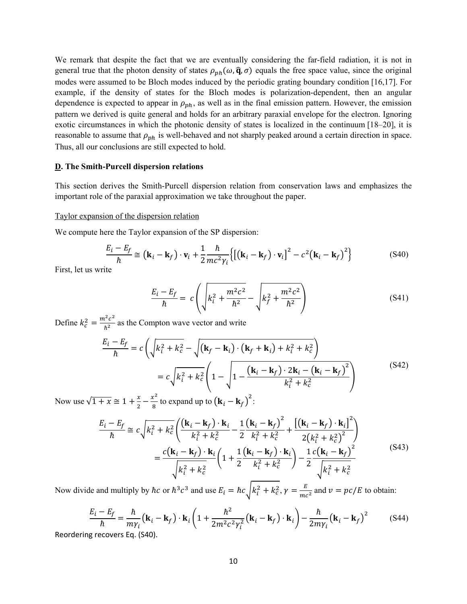We remark that despite the fact that we are eventually considering the far-field radiation, it is not in general true that the photon density of states  $\rho_{ph}(\omega, \hat{\mathbf{q}}, \sigma)$  equals the free space value, since the original modes were assumed to be Bloch modes induced by the periodic grating boundary condition [16,17]. For example, if the density of states for the Bloch modes is polarization-dependent, then an angular dependence is expected to appear in  $\rho_{ph}$ , as well as in the final emission pattern. However, the emission pattern we derived is quite general and holds for an arbitrary paraxial envelope for the electron. Ignoring exotic circumstances in which the photonic density of states is localized in the continuum [18–20], it is reasonable to assume that  $\rho_{ph}$  is well-behaved and not sharply peaked around a certain direction in space. Thus, all our conclusions are still expected to hold.

#### **D. The Smith-Purcell dispersion relations**

This section derives the Smith-Purcell dispersion relation from conservation laws and emphasizes the important role of the paraxial approximation we take throughout the paper.

# Taylor expansion of the dispersion relation

We compute here the Taylor expansion of the SP dispersion:

$$
\frac{E_i - E_f}{\hbar} \approx (\mathbf{k}_i - \mathbf{k}_f) \cdot \mathbf{v}_i + \frac{1}{2} \frac{\hbar}{mc^2 \gamma_i} \left\{ \left[ (\mathbf{k}_i - \mathbf{k}_f) \cdot \mathbf{v}_i \right]^2 - c^2 (\mathbf{k}_i - \mathbf{k}_f)^2 \right\} \tag{S40}
$$

First, let us write

$$
\frac{E_i - E_f}{\hbar} = c \left( \sqrt{k_i^2 + \frac{m^2 c^2}{\hbar^2}} - \sqrt{k_f^2 + \frac{m^2 c^2}{\hbar^2}} \right)
$$
 (S41)

Define  $k_c^2 = \frac{m^2 c^2}{\hbar^2}$  as the Compton wave vector and write

$$
\frac{E_i - E_f}{\hbar} = c \left( \sqrt{k_i^2 + k_c^2} - \sqrt{(\mathbf{k}_f - \mathbf{k}_i) \cdot (\mathbf{k}_f + \mathbf{k}_i) + k_i^2 + k_c^2} \right)
$$

$$
= c \sqrt{k_i^2 + k_c^2} \left( 1 - \sqrt{1 - \frac{(\mathbf{k}_i - \mathbf{k}_f) \cdot 2\mathbf{k}_i - (\mathbf{k}_i - \mathbf{k}_f)^2}{k_i^2 + k_c^2}} \right)
$$
(S42)

Now use  $\sqrt{1+x} \cong 1 + \frac{x}{2} - \frac{x^2}{8}$  to expand up to  $(\mathbf{k}_i - \mathbf{k}_f)^2$ :

$$
\frac{E_i - E_f}{\hbar} \approx c \sqrt{k_i^2 + k_c^2} \left( \frac{(\mathbf{k}_i - \mathbf{k}_f) \cdot \mathbf{k}_i}{k_i^2 + k_c^2} - \frac{1}{2} \frac{(\mathbf{k}_i - \mathbf{k}_f)^2}{k_i^2 + k_c^2} + \frac{[(\mathbf{k}_i - \mathbf{k}_f) \cdot \mathbf{k}_i]^2}{2(k_i^2 + k_c^2)} \right)
$$

$$
= \frac{c(\mathbf{k}_i - \mathbf{k}_f) \cdot \mathbf{k}_i}{\sqrt{k_i^2 + k_c^2}} \left( 1 + \frac{1}{2} \frac{(\mathbf{k}_i - \mathbf{k}_f) \cdot \mathbf{k}_i}{k_i^2 + k_c^2} \right) - \frac{1}{2} \frac{c(\mathbf{k}_i - \mathbf{k}_f)^2}{\sqrt{k_i^2 + k_c^2}} \tag{S43}
$$

Now divide and multiply by  $\hbar c$  or  $\hbar^3 c^3$  and use  $E_i = \hbar c \sqrt{k_i^2 + k_c^2}$ ,  $\gamma = \frac{E}{mc^2}$  and  $\nu = pc/E$  to obtain:

$$
\frac{E_i - E_f}{\hbar} = \frac{\hbar}{m\gamma_i} (\mathbf{k}_i - \mathbf{k}_f) \cdot \mathbf{k}_i \left( 1 + \frac{\hbar^2}{2m^2 c^2 \gamma_i^2} (\mathbf{k}_i - \mathbf{k}_f) \cdot \mathbf{k}_i \right) - \frac{\hbar}{2m\gamma_i} (\mathbf{k}_i - \mathbf{k}_f)^2 \tag{S44}
$$

Reordering recovers Eq. (S40).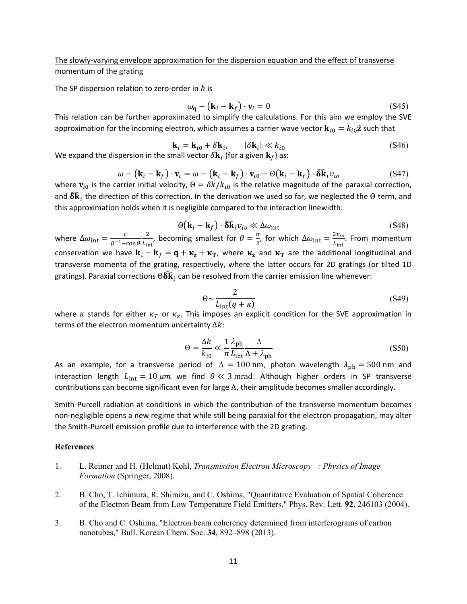The slowly-varying envelope approximation for the dispersion equation and the effect of transverse momentum of the grating

The SP dispersion relation to zero-order in  $\hbar$  is

$$
\omega_{\mathbf{q}} - (\mathbf{k}_i - \mathbf{k}_f) \cdot \mathbf{v}_i = 0 \tag{S45}
$$

This relation can be further approximated to simplify the calculations. For this aim we employ the SVE approximation for the incoming electron, which assumes a carrier wave vector  ${\bf k}_{i0} = k_{i0} \hat{\bf z}$  such that

$$
\mathbf{k}_{i} = \mathbf{k}_{i0} + \delta \mathbf{k}_{i}, \qquad |\delta \mathbf{k}_{i}| \ll k_{i0}
$$
 (S46)

We expand the dispersion in the small vector  $\delta \mathbf{k}_i$  (for a given  $\mathbf{k}_f$ ) as:

$$
\omega - (\mathbf{k}_i - \mathbf{k}_f) \cdot \mathbf{v}_i = \omega - (\mathbf{k}_i - \mathbf{k}_f) \cdot \mathbf{v}_{i0} - \Theta(\mathbf{k}_i - \mathbf{k}_f) \cdot \delta \mathbf{\hat{k}}_i v_{io}
$$
(S47)

where  ${\bf v}_{i_0}$  is the carrier initial velocity,  $\Theta = \delta k / k_{i_0}$  is the relative magnitude of the paraxial correction, and  $\widehat{\delta{\bf k}}_i$  the direction of this correction. In the derivation we used so far, we neglected the  $\Theta$  term, and this approximation holds when it is negligible compared to the interaction linewidth:

$$
\Theta(\mathbf{k}_i - \mathbf{k}_f) \cdot \delta \mathbf{\hat{k}}_i v_{io} \ll \Delta \omega_{int}
$$
 (S48)

where  $\Delta\omega_{\rm int} = \frac{c}{\beta^{-1}-\cos\theta}$ 2  $\frac{2}{L_{\text{int}}}$ , becoming smallest for  $\theta = \frac{\pi}{2}$ , for which  $\Delta \omega_{\text{int}} = \frac{2v_{io}}{L_{\text{int}}}$ . From momentum conservation we have  $\mathbf{k}_i - \mathbf{k}_f = \mathbf{q} + \mathbf{\kappa}_z + \mathbf{\kappa}_T$ , where  $\mathbf{\kappa}_z$  and  $\mathbf{\kappa}_T$  are the additional longitudinal and transverse momenta of the grating, respectively, where the latter occurs for 2D gratings (or tilted 1D gratings). Paraxial corrections  $\Theta \delta \mathbf{k}_i$  can be resolved from the carrier emission line whenever:

$$
\Theta \sim \frac{2}{L_{\text{int}}(q+\kappa)}\tag{S49}
$$

where  $\kappa$  stands for either  $\kappa_T$  or  $\kappa_z$ . This imposes an explicit condition for the SVE approximation in terms of the electron momentum uncertainty  $\Delta k$ :

$$
\Theta = \frac{\Delta k}{k_{i0}} \ll \frac{1}{\pi} \frac{\lambda_{\rm ph}}{L_{\rm int}} \frac{\Lambda}{\Lambda + \lambda_{\rm ph}} \tag{S50}
$$

As an example, for a transverse period of  $\Lambda = 100$  nm, photon wavelength  $\lambda_{\rm ph} = 500$  nm and interaction length  $L_{int} = 10 \ \mu m$  we find  $\theta \ll 3 \text{ mrad}$ . Although higher orders in SP transverse contributions can become significant even for large  $\Lambda$ , their amplitude becomes smaller accordingly.

Smith Purcell radiation at conditions in which the contribution of the transverse momentum becomes non-negligible opens a new regime that while still being paraxial for the electron propagation, may alter the Smith-Purcell emission profile due to interference with the 2D grating.

### **References**

- 1. L. Reimer and H. (Helmut) Kohl, *Transmission Electron Microscopy: Physics of Image Formation* (Springer, 2008).
- 2. B. Cho, T. Ichimura, R. Shimizu, and C. Oshima, "Quantitative Evaluation of Spatial Coherence of the Electron Beam from Low Temperature Field Emitters," Phys. Rev. Lett. **92**, 246103 (2004).
- 3. B. Cho and C. Oshima, "Electron beam coherency determined from interferograms of carbon nanotubes," Bull. Korean Chem. Soc. **34**, 892–898 (2013).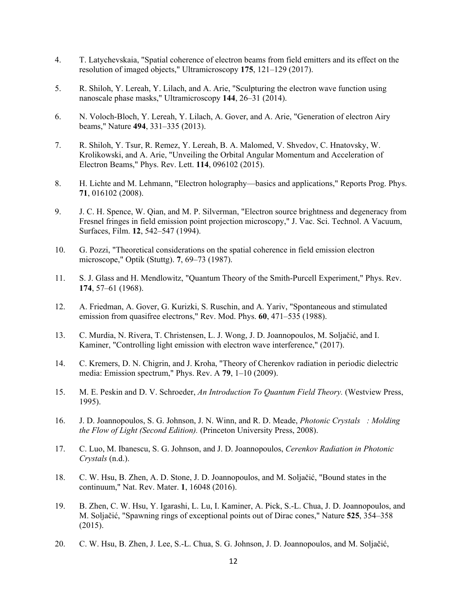- 4. T. Latychevskaia, "Spatial coherence of electron beams from field emitters and its effect on the resolution of imaged objects," Ultramicroscopy **175**, 121–129 (2017).
- 5. R. Shiloh, Y. Lereah, Y. Lilach, and A. Arie, "Sculpturing the electron wave function using nanoscale phase masks," Ultramicroscopy **144**, 26–31 (2014).
- 6. N. Voloch-Bloch, Y. Lereah, Y. Lilach, A. Gover, and A. Arie, "Generation of electron Airy beams," Nature **494**, 331–335 (2013).
- 7. R. Shiloh, Y. Tsur, R. Remez, Y. Lereah, B. A. Malomed, V. Shvedov, C. Hnatovsky, W. Krolikowski, and A. Arie, "Unveiling the Orbital Angular Momentum and Acceleration of Electron Beams," Phys. Rev. Lett. **114**, 096102 (2015).
- 8. H. Lichte and M. Lehmann, "Electron holography—basics and applications," Reports Prog. Phys. **71**, 016102 (2008).
- 9. J. C. H. Spence, W. Qian, and M. P. Silverman, "Electron source brightness and degeneracy from Fresnel fringes in field emission point projection microscopy," J. Vac. Sci. Technol. A Vacuum, Surfaces, Film. **12**, 542–547 (1994).
- 10. G. Pozzi, "Theoretical considerations on the spatial coherence in field emission electron microscope," Optik (Stuttg). **7**, 69–73 (1987).
- 11. S. J. Glass and H. Mendlowitz, "Quantum Theory of the Smith-Purcell Experiment," Phys. Rev. **174**, 57–61 (1968).
- 12. A. Friedman, A. Gover, G. Kurizki, S. Ruschin, and A. Yariv, "Spontaneous and stimulated emission from quasifree electrons," Rev. Mod. Phys. **60**, 471–535 (1988).
- 13. C. Murdia, N. Rivera, T. Christensen, L. J. Wong, J. D. Joannopoulos, M. Soljačić, and I. Kaminer, "Controlling light emission with electron wave interference," (2017).
- 14. C. Kremers, D. N. Chigrin, and J. Kroha, "Theory of Cherenkov radiation in periodic dielectric media: Emission spectrum," Phys. Rev. A **79**, 1–10 (2009).
- 15. M. E. Peskin and D. V. Schroeder, *An Introduction To Quantum Field Theory.* (Westview Press, 1995).
- 16. J. D. Joannopoulos, S. G. Johnson, J. N. Winn, and R. D. Meade, *Photonic Crystals: Molding the Flow of Light (Second Edition).* (Princeton University Press, 2008).
- 17. C. Luo, M. Ibanescu, S. G. Johnson, and J. D. Joannopoulos, *Cerenkov Radiation in Photonic Crystals* (n.d.).
- 18. C. W. Hsu, B. Zhen, A. D. Stone, J. D. Joannopoulos, and M. Soljačić, "Bound states in the continuum," Nat. Rev. Mater. **1**, 16048 (2016).
- 19. B. Zhen, C. W. Hsu, Y. Igarashi, L. Lu, I. Kaminer, A. Pick, S.-L. Chua, J. D. Joannopoulos, and M. Soljačić, "Spawning rings of exceptional points out of Dirac cones," Nature **525**, 354–358 (2015).
- 20. C. W. Hsu, B. Zhen, J. Lee, S.-L. Chua, S. G. Johnson, J. D. Joannopoulos, and M. Soljačić,